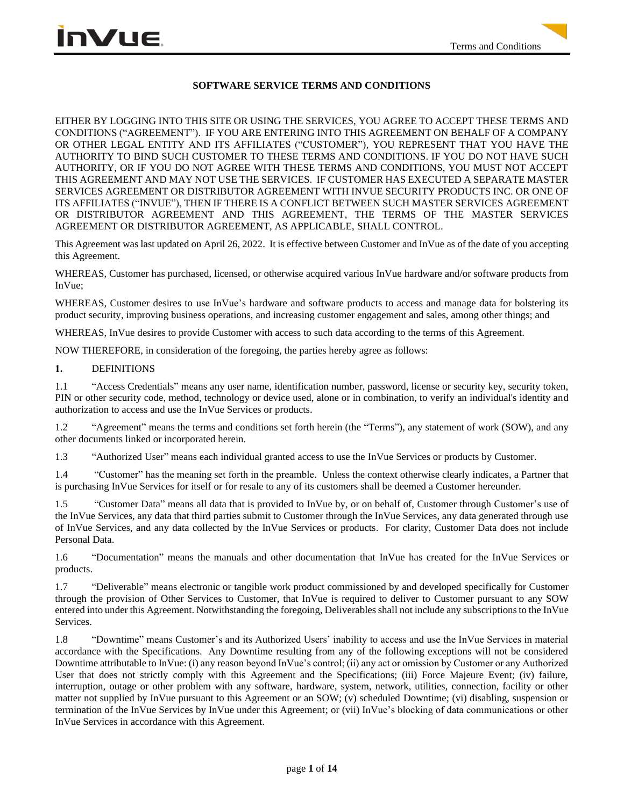## **SOFTWARE SERVICE TERMS AND CONDITIONS**

EITHER BY LOGGING INTO THIS SITE OR USING THE SERVICES, YOU AGREE TO ACCEPT THESE TERMS AND CONDITIONS ("AGREEMENT"). IF YOU ARE ENTERING INTO THIS AGREEMENT ON BEHALF OF A COMPANY OR OTHER LEGAL ENTITY AND ITS AFFILIATES ("CUSTOMER"), YOU REPRESENT THAT YOU HAVE THE AUTHORITY TO BIND SUCH CUSTOMER TO THESE TERMS AND CONDITIONS. IF YOU DO NOT HAVE SUCH AUTHORITY, OR IF YOU DO NOT AGREE WITH THESE TERMS AND CONDITIONS, YOU MUST NOT ACCEPT THIS AGREEMENT AND MAY NOT USE THE SERVICES. IF CUSTOMER HAS EXECUTED A SEPARATE MASTER SERVICES AGREEMENT OR DISTRIBUTOR AGREEMENT WITH INVUE SECURITY PRODUCTS INC. OR ONE OF ITS AFFILIATES ("INVUE"), THEN IF THERE IS A CONFLICT BETWEEN SUCH MASTER SERVICES AGREEMENT OR DISTRIBUTOR AGREEMENT AND THIS AGREEMENT, THE TERMS OF THE MASTER SERVICES AGREEMENT OR DISTRIBUTOR AGREEMENT, AS APPLICABLE, SHALL CONTROL.

This Agreement was last updated on April 26, 2022. It is effective between Customer and InVue as of the date of you accepting this Agreement.

WHEREAS, Customer has purchased, licensed, or otherwise acquired various InVue hardware and/or software products from InVue;

WHEREAS, Customer desires to use InVue's hardware and software products to access and manage data for bolstering its product security, improving business operations, and increasing customer engagement and sales, among other things; and

WHEREAS, InVue desires to provide Customer with access to such data according to the terms of this Agreement.

NOW THEREFORE, in consideration of the foregoing, the parties hereby agree as follows:

### **1.** DEFINITIONS

1.1 "Access Credentials" means any user name, identification number, password, license or security key, security token, PIN or other security code, method, technology or device used, alone or in combination, to verify an individual's identity and authorization to access and use the InVue Services or products.

1.2 "Agreement" means the terms and conditions set forth herein (the "Terms"), any statement of work (SOW), and any other documents linked or incorporated herein.

1.3 "Authorized User" means each individual granted access to use the InVue Services or products by Customer.

1.4 "Customer" has the meaning set forth in the preamble. Unless the context otherwise clearly indicates, a Partner that is purchasing InVue Services for itself or for resale to any of its customers shall be deemed a Customer hereunder.

1.5 "Customer Data" means all data that is provided to InVue by, or on behalf of, Customer through Customer's use of the InVue Services, any data that third parties submit to Customer through the InVue Services, any data generated through use of InVue Services, and any data collected by the InVue Services or products. For clarity, Customer Data does not include Personal Data.

1.6 "Documentation" means the manuals and other documentation that InVue has created for the InVue Services or products.

1.7 "Deliverable" means electronic or tangible work product commissioned by and developed specifically for Customer through the provision of Other Services to Customer, that InVue is required to deliver to Customer pursuant to any SOW entered into under this Agreement. Notwithstanding the foregoing, Deliverables shall not include any subscriptions to the InVue Services.

1.8 "Downtime" means Customer's and its Authorized Users' inability to access and use the InVue Services in material accordance with the Specifications. Any Downtime resulting from any of the following exceptions will not be considered Downtime attributable to InVue: (i) any reason beyond InVue's control; (ii) any act or omission by Customer or any Authorized User that does not strictly comply with this Agreement and the Specifications; (iii) Force Majeure Event; (iv) failure, interruption, outage or other problem with any software, hardware, system, network, utilities, connection, facility or other matter not supplied by InVue pursuant to this Agreement or an SOW; (v) scheduled Downtime; (vi) disabling, suspension or termination of the InVue Services by InVue under this Agreement; or (vii) InVue's blocking of data communications or other InVue Services in accordance with this Agreement.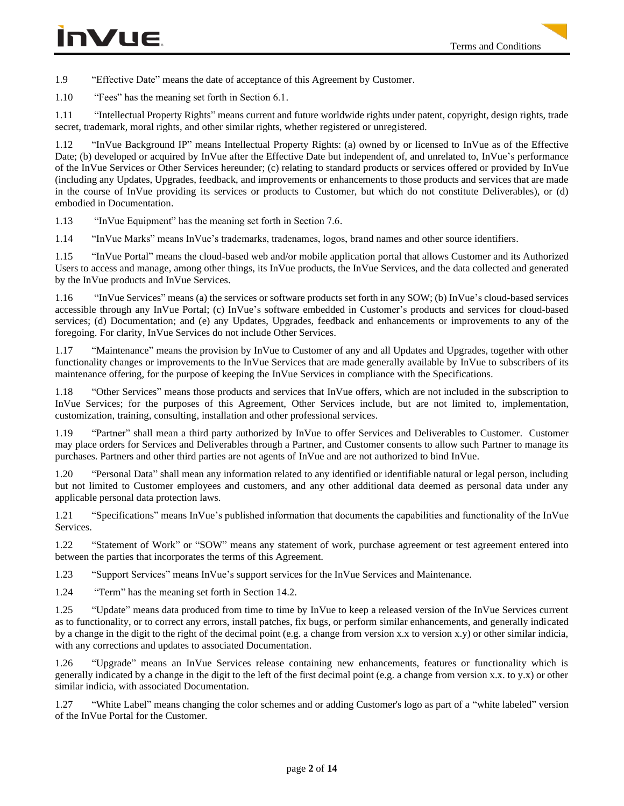1.9 "Effective Date" means the date of acceptance of this Agreement by Customer.

1.10 "Fees" has the meaning set forth in Section 6.1.

1.11 "Intellectual Property Rights" means current and future worldwide rights under patent, copyright, design rights, trade secret, trademark, moral rights, and other similar rights, whether registered or unregistered.

1.12 "InVue Background IP" means Intellectual Property Rights: (a) owned by or licensed to InVue as of the Effective Date; (b) developed or acquired by InVue after the Effective Date but independent of, and unrelated to, InVue's performance of the InVue Services or Other Services hereunder; (c) relating to standard products or services offered or provided by InVue (including any Updates, Upgrades, feedback, and improvements or enhancements to those products and services that are made in the course of InVue providing its services or products to Customer, but which do not constitute Deliverables), or (d) embodied in Documentation.

1.13 "InVue Equipment" has the meaning set forth in Section 7.6.

1.14 "InVue Marks" means InVue's trademarks, tradenames, logos, brand names and other source identifiers.

1.15 "InVue Portal" means the cloud-based web and/or mobile application portal that allows Customer and its Authorized Users to access and manage, among other things, its InVue products, the InVue Services, and the data collected and generated by the InVue products and InVue Services.

1.16 "InVue Services" means (a) the services or software products set forth in any SOW; (b) InVue's cloud-based services accessible through any InVue Portal; (c) InVue's software embedded in Customer's products and services for cloud-based services; (d) Documentation; and (e) any Updates, Upgrades, feedback and enhancements or improvements to any of the foregoing. For clarity, InVue Services do not include Other Services.

1.17 "Maintenance" means the provision by InVue to Customer of any and all Updates and Upgrades, together with other functionality changes or improvements to the InVue Services that are made generally available by InVue to subscribers of its maintenance offering, for the purpose of keeping the InVue Services in compliance with the Specifications.

1.18 "Other Services" means those products and services that InVue offers, which are not included in the subscription to InVue Services; for the purposes of this Agreement, Other Services include, but are not limited to, implementation, customization, training, consulting, installation and other professional services.

1.19 "Partner" shall mean a third party authorized by InVue to offer Services and Deliverables to Customer. Customer may place orders for Services and Deliverables through a Partner, and Customer consents to allow such Partner to manage its purchases. Partners and other third parties are not agents of InVue and are not authorized to bind InVue.

1.20 "Personal Data" shall mean any information related to any identified or identifiable natural or legal person, including but not limited to Customer employees and customers, and any other additional data deemed as personal data under any applicable personal data protection laws.

1.21 "Specifications" means InVue's published information that documents the capabilities and functionality of the InVue Services.

1.22 "Statement of Work" or "SOW" means any statement of work, purchase agreement or test agreement entered into between the parties that incorporates the terms of this Agreement.

1.23 "Support Services" means InVue's support services for the InVue Services and Maintenance.

1.24 "Term" has the meaning set forth in Section 14.2.

1.25 "Update" means data produced from time to time by InVue to keep a released version of the InVue Services current as to functionality, or to correct any errors, install patches, fix bugs, or perform similar enhancements, and generally indicated by a change in the digit to the right of the decimal point (e.g. a change from version x.x to version x.y) or other similar indicia, with any corrections and updates to associated Documentation.

1.26 "Upgrade" means an InVue Services release containing new enhancements, features or functionality which is generally indicated by a change in the digit to the left of the first decimal point (e.g. a change from version x.x. to y.x) or other similar indicia, with associated Documentation.

1.27 "White Label" means changing the color schemes and or adding Customer's logo as part of a "white labeled" version of the InVue Portal for the Customer.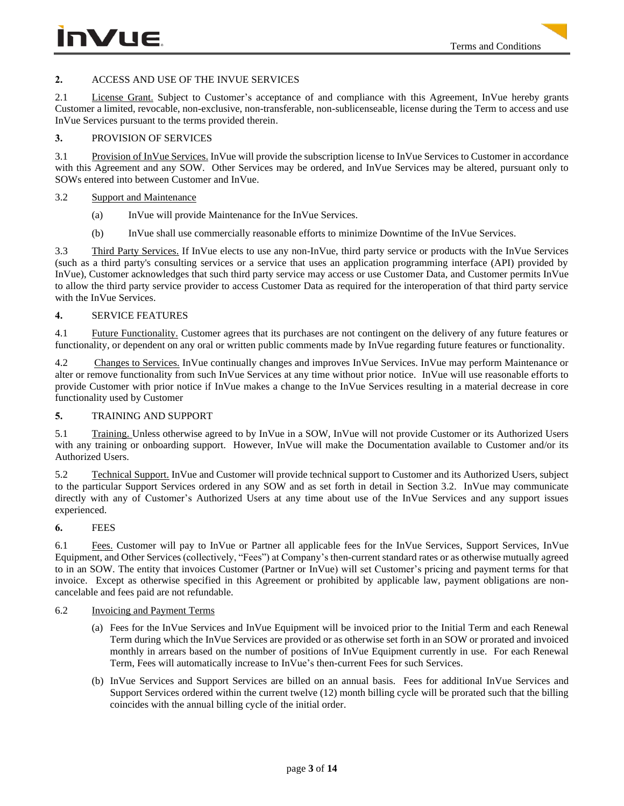# **2.** ACCESS AND USE OF THE INVUE SERVICES

2.1 License Grant. Subject to Customer's acceptance of and compliance with this Agreement, InVue hereby grants Customer a limited, revocable, non-exclusive, non-transferable, non-sublicenseable, license during the Term to access and use InVue Services pursuant to the terms provided therein.

### **3.** PROVISION OF SERVICES

3.1 Provision of InVue Services. InVue will provide the subscription license to InVue Services to Customer in accordance with this Agreement and any SOW. Other Services may be ordered, and InVue Services may be altered, pursuant only to SOWs entered into between Customer and InVue.

## 3.2 Support and Maintenance

- (a) InVue will provide Maintenance for the InVue Services.
- (b) InVue shall use commercially reasonable efforts to minimize Downtime of the InVue Services.

3.3 Third Party Services. If InVue elects to use any non-InVue, third party service or products with the InVue Services (such as a third party's consulting services or a service that uses an application programming interface (API) provided by InVue), Customer acknowledges that such third party service may access or use Customer Data, and Customer permits InVue to allow the third party service provider to access Customer Data as required for the interoperation of that third party service with the InVue Services.

## **4.** SERVICE FEATURES

4.1 Future Functionality. Customer agrees that its purchases are not contingent on the delivery of any future features or functionality, or dependent on any oral or written public comments made by InVue regarding future features or functionality.

4.2 Changes to Services. InVue continually changes and improves InVue Services. InVue may perform Maintenance or alter or remove functionality from such InVue Services at any time without prior notice. InVue will use reasonable efforts to provide Customer with prior notice if InVue makes a change to the InVue Services resulting in a material decrease in core functionality used by Customer

## **5.** TRAINING AND SUPPORT

5.1 Training. Unless otherwise agreed to by InVue in a SOW, InVue will not provide Customer or its Authorized Users with any training or onboarding support. However, InVue will make the Documentation available to Customer and/or its Authorized Users.

5.2 Technical Support. InVue and Customer will provide technical support to Customer and its Authorized Users, subject to the particular Support Services ordered in any SOW and as set forth in detail in Section 3.2. InVue may communicate directly with any of Customer's Authorized Users at any time about use of the InVue Services and any support issues experienced.

## **6.** FEES

6.1 Fees. Customer will pay to InVue or Partner all applicable fees for the InVue Services, Support Services, InVue Equipment, and Other Services (collectively, "Fees") at Company's then-current standard rates or as otherwise mutually agreed to in an SOW. The entity that invoices Customer (Partner or InVue) will set Customer's pricing and payment terms for that invoice. Except as otherwise specified in this Agreement or prohibited by applicable law, payment obligations are noncancelable and fees paid are not refundable.

## 6.2 Invoicing and Payment Terms

- (a) Fees for the InVue Services and InVue Equipment will be invoiced prior to the Initial Term and each Renewal Term during which the InVue Services are provided or as otherwise set forth in an SOW or prorated and invoiced monthly in arrears based on the number of positions of InVue Equipment currently in use. For each Renewal Term, Fees will automatically increase to InVue's then-current Fees for such Services.
- (b) InVue Services and Support Services are billed on an annual basis. Fees for additional InVue Services and Support Services ordered within the current twelve (12) month billing cycle will be prorated such that the billing coincides with the annual billing cycle of the initial order.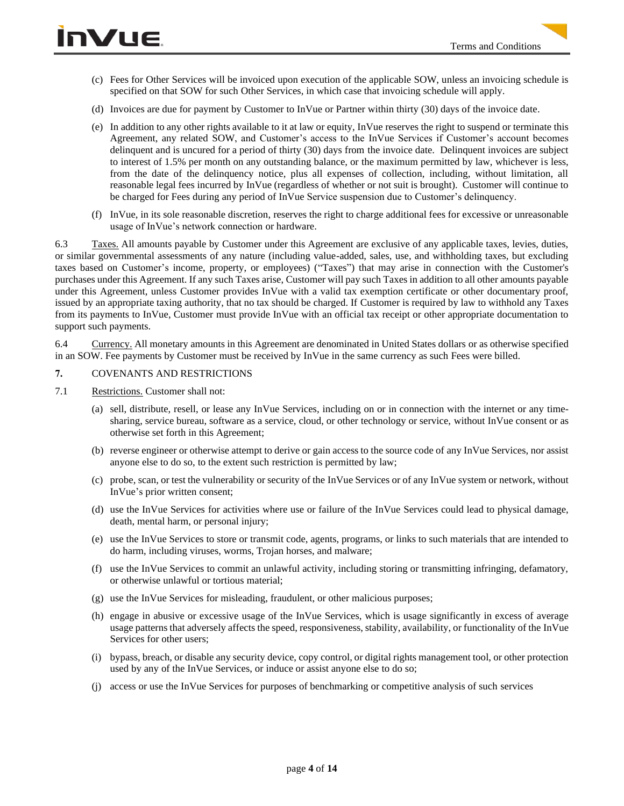- (c) Fees for Other Services will be invoiced upon execution of the applicable SOW, unless an invoicing schedule is specified on that SOW for such Other Services, in which case that invoicing schedule will apply.
- (d) Invoices are due for payment by Customer to InVue or Partner within thirty (30) days of the invoice date.
- (e) In addition to any other rights available to it at law or equity, InVue reserves the right to suspend or terminate this Agreement, any related SOW, and Customer's access to the InVue Services if Customer's account becomes delinquent and is uncured for a period of thirty (30) days from the invoice date. Delinquent invoices are subject to interest of 1.5% per month on any outstanding balance, or the maximum permitted by law, whichever is less, from the date of the delinquency notice, plus all expenses of collection, including, without limitation, all reasonable legal fees incurred by InVue (regardless of whether or not suit is brought). Customer will continue to be charged for Fees during any period of InVue Service suspension due to Customer's delinquency.
- (f) InVue, in its sole reasonable discretion, reserves the right to charge additional fees for excessive or unreasonable usage of InVue's network connection or hardware.

6.3 Taxes. All amounts payable by Customer under this Agreement are exclusive of any applicable taxes, levies, duties, or similar governmental assessments of any nature (including value-added, sales, use, and withholding taxes, but excluding taxes based on Customer's income, property, or employees) ("Taxes") that may arise in connection with the Customer's purchases under this Agreement. If any such Taxes arise, Customer will pay such Taxes in addition to all other amounts payable under this Agreement, unless Customer provides InVue with a valid tax exemption certificate or other documentary proof, issued by an appropriate taxing authority, that no tax should be charged. If Customer is required by law to withhold any Taxes from its payments to InVue, Customer must provide InVue with an official tax receipt or other appropriate documentation to support such payments.

6.4 Currency. All monetary amounts in this Agreement are denominated in United States dollars or as otherwise specified in an SOW. Fee payments by Customer must be received by InVue in the same currency as such Fees were billed.

### **7.** COVENANTS AND RESTRICTIONS

- 7.1 Restrictions. Customer shall not:
	- (a) sell, distribute, resell, or lease any InVue Services, including on or in connection with the internet or any timesharing, service bureau, software as a service, cloud, or other technology or service, without InVue consent or as otherwise set forth in this Agreement;
	- (b) reverse engineer or otherwise attempt to derive or gain access to the source code of any InVue Services, nor assist anyone else to do so, to the extent such restriction is permitted by law;
	- (c) probe, scan, or test the vulnerability or security of the InVue Services or of any InVue system or network, without InVue's prior written consent;
	- (d) use the InVue Services for activities where use or failure of the InVue Services could lead to physical damage, death, mental harm, or personal injury;
	- (e) use the InVue Services to store or transmit code, agents, programs, or links to such materials that are intended to do harm, including viruses, worms, Trojan horses, and malware;
	- (f) use the InVue Services to commit an unlawful activity, including storing or transmitting infringing, defamatory, or otherwise unlawful or tortious material;
	- (g) use the InVue Services for misleading, fraudulent, or other malicious purposes;
	- (h) engage in abusive or excessive usage of the InVue Services, which is usage significantly in excess of average usage patterns that adversely affects the speed, responsiveness, stability, availability, or functionality of the InVue Services for other users;
	- (i) bypass, breach, or disable any security device, copy control, or digital rights management tool, or other protection used by any of the InVue Services, or induce or assist anyone else to do so;
	- (j) access or use the InVue Services for purposes of benchmarking or competitive analysis of such services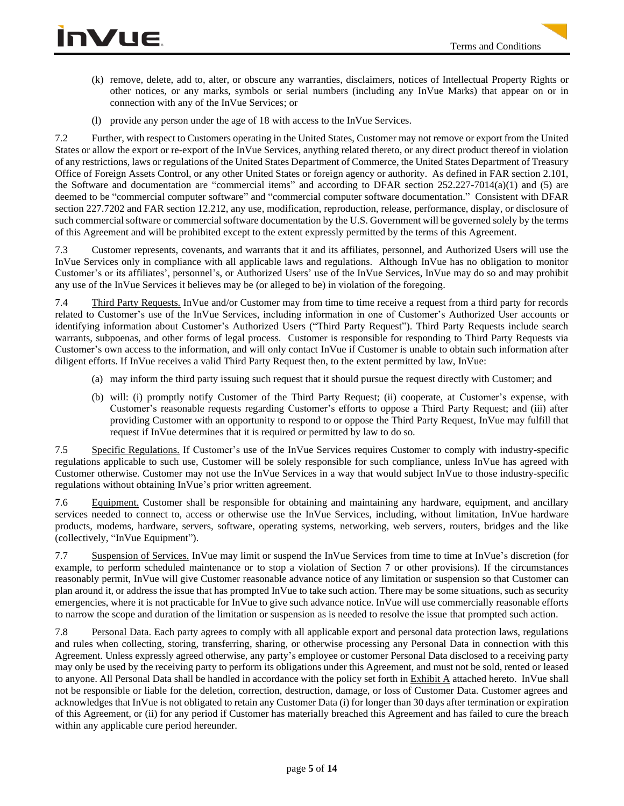- (k) remove, delete, add to, alter, or obscure any warranties, disclaimers, notices of Intellectual Property Rights or other notices, or any marks, symbols or serial numbers (including any InVue Marks) that appear on or in connection with any of the InVue Services; or
- (l) provide any person under the age of 18 with access to the InVue Services.

7.2 Further, with respect to Customers operating in the United States, Customer may not remove or export from the United States or allow the export or re-export of the InVue Services, anything related thereto, or any direct product thereof in violation of any restrictions, laws or regulations of the United States Department of Commerce, the United States Department of Treasury Office of Foreign Assets Control, or any other United States or foreign agency or authority. As defined in FAR section 2.101, the Software and documentation are "commercial items" and according to DFAR section 252.227-7014(a)(1) and (5) are deemed to be "commercial computer software" and "commercial computer software documentation." Consistent with DFAR section 227.7202 and FAR section 12.212, any use, modification, reproduction, release, performance, display, or disclosure of such commercial software or commercial software documentation by the U.S. Government will be governed solely by the terms of this Agreement and will be prohibited except to the extent expressly permitted by the terms of this Agreement.

7.3 Customer represents, covenants, and warrants that it and its affiliates, personnel, and Authorized Users will use the InVue Services only in compliance with all applicable laws and regulations. Although InVue has no obligation to monitor Customer's or its affiliates', personnel's, or Authorized Users' use of the InVue Services, InVue may do so and may prohibit any use of the InVue Services it believes may be (or alleged to be) in violation of the foregoing.

7.4 Third Party Requests. InVue and/or Customer may from time to time receive a request from a third party for records related to Customer's use of the InVue Services, including information in one of Customer's Authorized User accounts or identifying information about Customer's Authorized Users ("Third Party Request"). Third Party Requests include search warrants, subpoenas, and other forms of legal process. Customer is responsible for responding to Third Party Requests via Customer's own access to the information, and will only contact InVue if Customer is unable to obtain such information after diligent efforts. If InVue receives a valid Third Party Request then, to the extent permitted by law, InVue:

- (a) may inform the third party issuing such request that it should pursue the request directly with Customer; and
- (b) will: (i) promptly notify Customer of the Third Party Request; (ii) cooperate, at Customer's expense, with Customer's reasonable requests regarding Customer's efforts to oppose a Third Party Request; and (iii) after providing Customer with an opportunity to respond to or oppose the Third Party Request, InVue may fulfill that request if InVue determines that it is required or permitted by law to do so.

7.5 Specific Regulations. If Customer's use of the InVue Services requires Customer to comply with industry-specific regulations applicable to such use, Customer will be solely responsible for such compliance, unless InVue has agreed with Customer otherwise. Customer may not use the InVue Services in a way that would subject InVue to those industry-specific regulations without obtaining InVue's prior written agreement.

7.6 Equipment. Customer shall be responsible for obtaining and maintaining any hardware, equipment, and ancillary services needed to connect to, access or otherwise use the InVue Services, including, without limitation, InVue hardware products, modems, hardware, servers, software, operating systems, networking, web servers, routers, bridges and the like (collectively, "InVue Equipment").

7.7 Suspension of Services. InVue may limit or suspend the InVue Services from time to time at InVue's discretion (for example, to perform scheduled maintenance or to stop a violation of Section 7 or other provisions). If the circumstances reasonably permit, InVue will give Customer reasonable advance notice of any limitation or suspension so that Customer can plan around it, or address the issue that has prompted InVue to take such action. There may be some situations, such as security emergencies, where it is not practicable for InVue to give such advance notice. InVue will use commercially reasonable efforts to narrow the scope and duration of the limitation or suspension as is needed to resolve the issue that prompted such action.

7.8 Personal Data. Each party agrees to comply with all applicable export and personal data protection laws, regulations and rules when collecting, storing, transferring, sharing, or otherwise processing any Personal Data in connection with this Agreement. Unless expressly agreed otherwise, any party's employee or customer Personal Data disclosed to a receiving party may only be used by the receiving party to perform its obligations under this Agreement, and must not be sold, rented or leased to anyone. All Personal Data shall be handled in accordance with the policy set forth in Exhibit A attached hereto. InVue shall not be responsible or liable for the deletion, correction, destruction, damage, or loss of Customer Data. Customer agrees and acknowledges that InVue is not obligated to retain any Customer Data (i) for longer than 30 days after termination or expiration of this Agreement, or (ii) for any period if Customer has materially breached this Agreement and has failed to cure the breach within any applicable cure period hereunder.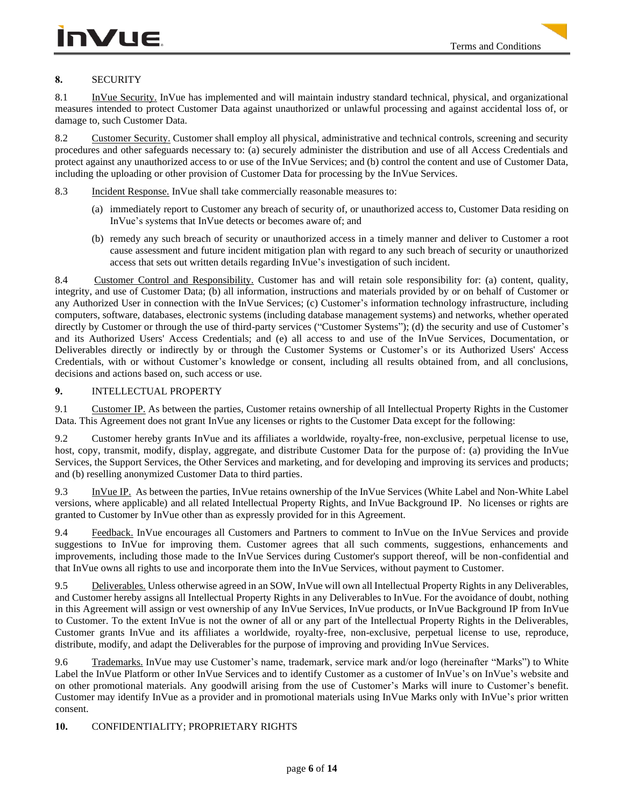# **8.** SECURITY

8.1 InVue Security. InVue has implemented and will maintain industry standard technical, physical, and organizational measures intended to protect Customer Data against unauthorized or unlawful processing and against accidental loss of, or damage to, such Customer Data.

8.2 Customer Security. Customer shall employ all physical, administrative and technical controls, screening and security procedures and other safeguards necessary to: (a) securely administer the distribution and use of all Access Credentials and protect against any unauthorized access to or use of the InVue Services; and (b) control the content and use of Customer Data, including the uploading or other provision of Customer Data for processing by the InVue Services.

8.3 Incident Response. InVue shall take commercially reasonable measures to:

- (a) immediately report to Customer any breach of security of, or unauthorized access to, Customer Data residing on InVue's systems that InVue detects or becomes aware of; and
- (b) remedy any such breach of security or unauthorized access in a timely manner and deliver to Customer a root cause assessment and future incident mitigation plan with regard to any such breach of security or unauthorized access that sets out written details regarding InVue's investigation of such incident.

8.4 Customer Control and Responsibility. Customer has and will retain sole responsibility for: (a) content, quality, integrity, and use of Customer Data; (b) all information, instructions and materials provided by or on behalf of Customer or any Authorized User in connection with the InVue Services; (c) Customer's information technology infrastructure, including computers, software, databases, electronic systems (including database management systems) and networks, whether operated directly by Customer or through the use of third-party services ("Customer Systems"); (d) the security and use of Customer's and its Authorized Users' Access Credentials; and (e) all access to and use of the InVue Services, Documentation, or Deliverables directly or indirectly by or through the Customer Systems or Customer's or its Authorized Users' Access Credentials, with or without Customer's knowledge or consent, including all results obtained from, and all conclusions, decisions and actions based on, such access or use.

## **9.** INTELLECTUAL PROPERTY

9.1 Customer IP. As between the parties, Customer retains ownership of all Intellectual Property Rights in the Customer Data. This Agreement does not grant InVue any licenses or rights to the Customer Data except for the following:

9.2 Customer hereby grants InVue and its affiliates a worldwide, royalty-free, non-exclusive, perpetual license to use, host, copy, transmit, modify, display, aggregate, and distribute Customer Data for the purpose of: (a) providing the InVue Services, the Support Services, the Other Services and marketing, and for developing and improving its services and products; and (b) reselling anonymized Customer Data to third parties.

9.3 InVue IP. As between the parties, InVue retains ownership of the InVue Services (White Label and Non-White Label versions, where applicable) and all related Intellectual Property Rights, and InVue Background IP. No licenses or rights are granted to Customer by InVue other than as expressly provided for in this Agreement.

9.4 Feedback. InVue encourages all Customers and Partners to comment to InVue on the InVue Services and provide suggestions to InVue for improving them. Customer agrees that all such comments, suggestions, enhancements and improvements, including those made to the InVue Services during Customer's support thereof, will be non-confidential and that InVue owns all rights to use and incorporate them into the InVue Services, without payment to Customer.

9.5 Deliverables. Unless otherwise agreed in an SOW, InVue will own all Intellectual Property Rights in any Deliverables, and Customer hereby assigns all Intellectual Property Rights in any Deliverables to InVue. For the avoidance of doubt, nothing in this Agreement will assign or vest ownership of any InVue Services, InVue products, or InVue Background IP from InVue to Customer. To the extent InVue is not the owner of all or any part of the Intellectual Property Rights in the Deliverables, Customer grants InVue and its affiliates a worldwide, royalty-free, non-exclusive, perpetual license to use, reproduce, distribute, modify, and adapt the Deliverables for the purpose of improving and providing InVue Services.

9.6 Trademarks. InVue may use Customer's name, trademark, service mark and/or logo (hereinafter "Marks") to White Label the InVue Platform or other InVue Services and to identify Customer as a customer of InVue's on InVue's website and on other promotional materials. Any goodwill arising from the use of Customer's Marks will inure to Customer's benefit. Customer may identify InVue as a provider and in promotional materials using InVue Marks only with InVue's prior written consent.

## **10.** CONFIDENTIALITY; PROPRIETARY RIGHTS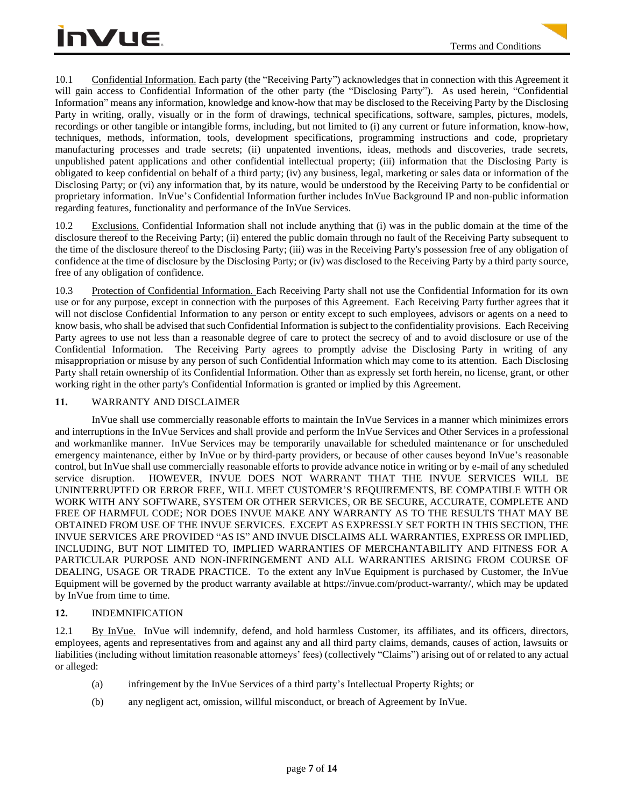10.1 Confidential Information. Each party (the "Receiving Party") acknowledges that in connection with this Agreement it will gain access to Confidential Information of the other party (the "Disclosing Party"). As used herein, "Confidential Information" means any information, knowledge and know-how that may be disclosed to the Receiving Party by the Disclosing Party in writing, orally, visually or in the form of drawings, technical specifications, software, samples, pictures, models, recordings or other tangible or intangible forms, including, but not limited to (i) any current or future information, know-how, techniques, methods, information, tools, development specifications, programming instructions and code, proprietary manufacturing processes and trade secrets; (ii) unpatented inventions, ideas, methods and discoveries, trade secrets, unpublished patent applications and other confidential intellectual property; (iii) information that the Disclosing Party is obligated to keep confidential on behalf of a third party; (iv) any business, legal, marketing or sales data or information of the Disclosing Party; or (vi) any information that, by its nature, would be understood by the Receiving Party to be confidential or proprietary information. InVue's Confidential Information further includes InVue Background IP and non-public information regarding features, functionality and performance of the InVue Services.

10.2 Exclusions. Confidential Information shall not include anything that (i) was in the public domain at the time of the disclosure thereof to the Receiving Party; (ii) entered the public domain through no fault of the Receiving Party subsequent to the time of the disclosure thereof to the Disclosing Party; (iii) was in the Receiving Party's possession free of any obligation of confidence at the time of disclosure by the Disclosing Party; or (iv) was disclosed to the Receiving Party by a third party source, free of any obligation of confidence.

10.3 Protection of Confidential Information. Each Receiving Party shall not use the Confidential Information for its own use or for any purpose, except in connection with the purposes of this Agreement. Each Receiving Party further agrees that it will not disclose Confidential Information to any person or entity except to such employees, advisors or agents on a need to know basis, who shall be advised that such Confidential Information is subject to the confidentiality provisions. Each Receiving Party agrees to use not less than a reasonable degree of care to protect the secrecy of and to avoid disclosure or use of the Confidential Information. The Receiving Party agrees to promptly advise the Disclosing Party in writing of any misappropriation or misuse by any person of such Confidential Information which may come to its attention. Each Disclosing Party shall retain ownership of its Confidential Information. Other than as expressly set forth herein, no license, grant, or other working right in the other party's Confidential Information is granted or implied by this Agreement.

## **11.** WARRANTY AND DISCLAIMER

InVue shall use commercially reasonable efforts to maintain the InVue Services in a manner which minimizes errors and interruptions in the InVue Services and shall provide and perform the InVue Services and Other Services in a professional and workmanlike manner. InVue Services may be temporarily unavailable for scheduled maintenance or for unscheduled emergency maintenance, either by InVue or by third-party providers, or because of other causes beyond InVue's reasonable control, but InVue shall use commercially reasonable efforts to provide advance notice in writing or by e-mail of any scheduled service disruption. HOWEVER, INVUE DOES NOT WARRANT THAT THE INVUE SERVICES WILL BE UNINTERRUPTED OR ERROR FREE, WILL MEET CUSTOMER'S REQUIREMENTS, BE COMPATIBLE WITH OR WORK WITH ANY SOFTWARE, SYSTEM OR OTHER SERVICES, OR BE SECURE, ACCURATE, COMPLETE AND FREE OF HARMFUL CODE; NOR DOES INVUE MAKE ANY WARRANTY AS TO THE RESULTS THAT MAY BE OBTAINED FROM USE OF THE INVUE SERVICES.EXCEPT AS EXPRESSLY SET FORTH IN THIS SECTION, THE INVUE SERVICES ARE PROVIDED "AS IS" AND INVUE DISCLAIMS ALL WARRANTIES, EXPRESS OR IMPLIED, INCLUDING, BUT NOT LIMITED TO, IMPLIED WARRANTIES OF MERCHANTABILITY AND FITNESS FOR A PARTICULAR PURPOSE AND NON-INFRINGEMENT AND ALL WARRANTIES ARISING FROM COURSE OF DEALING, USAGE OR TRADE PRACTICE. To the extent any InVue Equipment is purchased by Customer, the InVue Equipment will be governed by the product warranty available at [https://invue.com/product-warranty/,](https://invue.com/product-warranty/) which may be updated by InVue from time to time.

## **12.** INDEMNIFICATION

12.1 By InVue. InVue will indemnify, defend, and hold harmless Customer, its affiliates, and its officers, directors, employees, agents and representatives from and against any and all third party claims, demands, causes of action, lawsuits or liabilities (including without limitation reasonable attorneys' fees) (collectively "Claims") arising out of or related to any actual or alleged:

- (a) infringement by the InVue Services of a third party's Intellectual Property Rights; or
- (b) any negligent act, omission, willful misconduct, or breach of Agreement by InVue.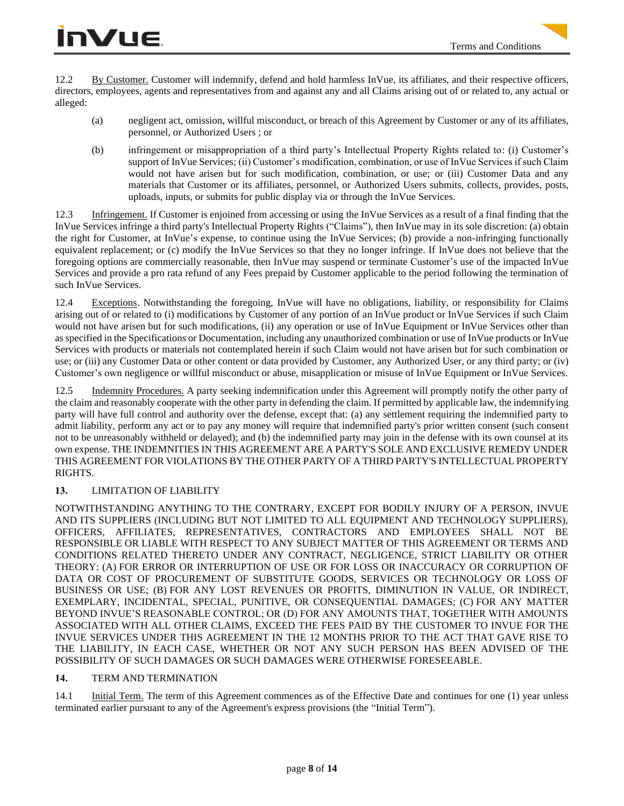12.2 By Customer. Customer will indemnify, defend and hold harmless InVue, its affiliates, and their respective officers, directors, employees, agents and representatives from and against any and all Claims arising out of or related to, any actual or alleged:

- (a) negligent act, omission, willful misconduct, or breach of this Agreement by Customer or any of its affiliates, personnel, or Authorized Users ; or
- (b) infringement or misappropriation of a third party's Intellectual Property Rights related to: (i) Customer's support of InVue Services; (ii) Customer's modification, combination, or use of InVue Services if such Claim would not have arisen but for such modification, combination, or use; or (iii) Customer Data and any materials that Customer or its affiliates, personnel, or Authorized Users submits, collects, provides, posts, uploads, inputs, or submits for public display via or through the InVue Services.

12.3 Infringement. If Customer is enjoined from accessing or using the InVue Services as a result of a final finding that the InVue Services infringe a third party's Intellectual Property Rights ("Claims"), then InVue may in its sole discretion: (a) obtain the right for Customer, at InVue's expense, to continue using the InVue Services; (b) provide a non-infringing functionally equivalent replacement; or (c) modify the InVue Services so that they no longer infringe. If InVue does not believe that the foregoing options are commercially reasonable, then InVue may suspend or terminate Customer's use of the impacted InVue Services and provide a pro rata refund of any Fees prepaid by Customer applicable to the period following the termination of such InVue Services.

12.4 Exceptions. Notwithstanding the foregoing, InVue will have no obligations, liability, or responsibility for Claims arising out of or related to (i) modifications by Customer of any portion of an InVue product or InVue Services if such Claim would not have arisen but for such modifications, (ii) any operation or use of InVue Equipment or InVue Services other than as specified in the Specifications or Documentation, including any unauthorized combination or use of InVue products or InVue Services with products or materials not contemplated herein if such Claim would not have arisen but for such combination or use; or (iii) any Customer Data or other content or data provided by Customer, any Authorized User, or any third party; or (iv) Customer's own negligence or willful misconduct or abuse, misapplication or misuse of InVue Equipment or InVue Services.

12.5 Indemnity Procedures. A party seeking indemnification under this Agreement will promptly notify the other party of the claim and reasonably cooperate with the other party in defending the claim. If permitted by applicable law, the indemnifying party will have full control and authority over the defense, except that: (a) any settlement requiring the indemnified party to admit liability, perform any act or to pay any money will require that indemnified party's prior written consent (such consent not to be unreasonably withheld or delayed); and (b) the indemnified party may join in the defense with its own counsel at its own expense. THE INDEMNITIES IN THIS AGREEMENT ARE A PARTY'S SOLE AND EXCLUSIVE REMEDY UNDER THIS AGREEMENT FOR VIOLATIONS BY THE OTHER PARTY OF A THIRD PARTY'S INTELLECTUAL PROPERTY RIGHTS.

# **13.** LIMITATION OF LIABILITY

NOTWITHSTANDING ANYTHING TO THE CONTRARY, EXCEPT FOR BODILY INJURY OF A PERSON, INVUE AND ITS SUPPLIERS (INCLUDING BUT NOT LIMITED TO ALL EQUIPMENT AND TECHNOLOGY SUPPLIERS), OFFICERS, AFFILIATES, REPRESENTATIVES, CONTRACTORS AND EMPLOYEES SHALL NOT BE RESPONSIBLE OR LIABLE WITH RESPECT TO ANY SUBJECT MATTER OF THIS AGREEMENT OR TERMS AND CONDITIONS RELATED THERETO UNDER ANY CONTRACT, NEGLIGENCE, STRICT LIABILITY OR OTHER THEORY: (A) FOR ERROR OR INTERRUPTION OF USE OR FOR LOSS OR INACCURACY OR CORRUPTION OF DATA OR COST OF PROCUREMENT OF SUBSTITUTE GOODS, SERVICES OR TECHNOLOGY OR LOSS OF BUSINESS OR USE; (B) FOR ANY LOST REVENUES OR PROFITS, DIMINUTION IN VALUE, OR INDIRECT, EXEMPLARY, INCIDENTAL, SPECIAL, PUNITIVE, OR CONSEQUENTIAL DAMAGES; (C) FOR ANY MATTER BEYOND INVUE'S REASONABLE CONTROL; OR (D) FOR ANY AMOUNTS THAT, TOGETHER WITH AMOUNTS ASSOCIATED WITH ALL OTHER CLAIMS, EXCEED THE FEES PAID BY THE CUSTOMER TO INVUE FOR THE INVUE SERVICES UNDER THIS AGREEMENT IN THE 12 MONTHS PRIOR TO THE ACT THAT GAVE RISE TO THE LIABILITY, IN EACH CASE, WHETHER OR NOT ANY SUCH PERSON HAS BEEN ADVISED OF THE POSSIBILITY OF SUCH DAMAGES OR SUCH DAMAGES WERE OTHERWISE FORESEEABLE.

## **14.** TERM AND TERMINATION

14.1 Initial Term. The term of this Agreement commences as of the Effective Date and continues for one (1) year unless terminated earlier pursuant to any of the Agreement's express provisions (the "Initial Term").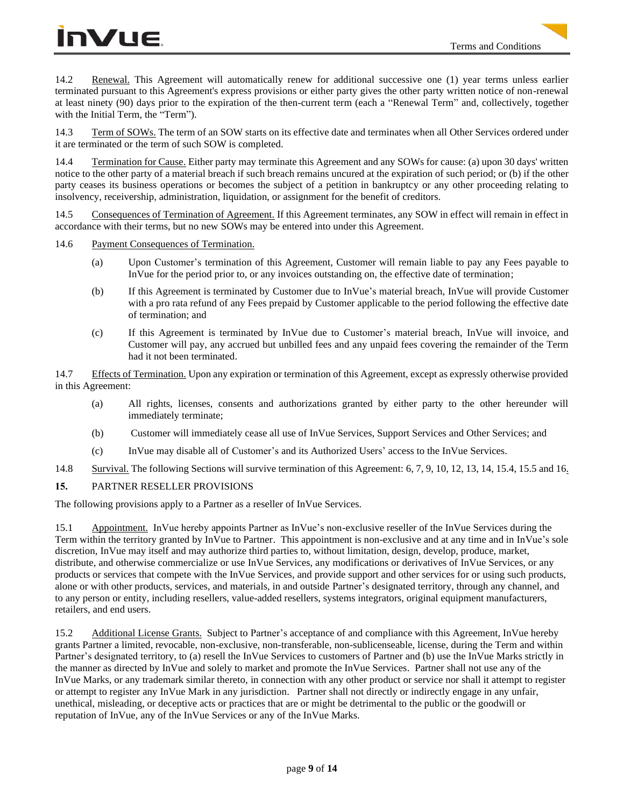# **InVue**

14.2 Renewal. This Agreement will automatically renew for additional successive one (1) year terms unless earlier terminated pursuant to this Agreement's express provisions or either party gives the other party written notice of non-renewal at least ninety (90) days prior to the expiration of the then-current term (each a "Renewal Term" and, collectively, together with the Initial Term, the "Term").

14.3 Term of SOWs. The term of an SOW starts on its effective date and terminates when all Other Services ordered under it are terminated or the term of such SOW is completed.

14.4 Termination for Cause. Either party may terminate this Agreement and any SOWs for cause: (a) upon 30 days' written notice to the other party of a material breach if such breach remains uncured at the expiration of such period; or (b) if the other party ceases its business operations or becomes the subject of a petition in bankruptcy or any other proceeding relating to insolvency, receivership, administration, liquidation, or assignment for the benefit of creditors.

14.5 Consequences of Termination of Agreement. If this Agreement terminates, any SOW in effect will remain in effect in accordance with their terms, but no new SOWs may be entered into under this Agreement.

14.6 Payment Consequences of Termination.

- (a) Upon Customer's termination of this Agreement, Customer will remain liable to pay any Fees payable to InVue for the period prior to, or any invoices outstanding on, the effective date of termination;
- (b) If this Agreement is terminated by Customer due to InVue's material breach, InVue will provide Customer with a pro rata refund of any Fees prepaid by Customer applicable to the period following the effective date of termination; and
- (c) If this Agreement is terminated by InVue due to Customer's material breach, InVue will invoice, and Customer will pay, any accrued but unbilled fees and any unpaid fees covering the remainder of the Term had it not been terminated.

14.7 Effects of Termination. Upon any expiration or termination of this Agreement, except as expressly otherwise provided in this Agreement:

- (a) All rights, licenses, consents and authorizations granted by either party to the other hereunder will immediately terminate;
- (b) Customer will immediately cease all use of InVue Services, Support Services and Other Services; and
- (c) InVue may disable all of Customer's and its Authorized Users' access to the InVue Services.
- 14.8 Survival. The following Sections will survive termination of this Agreement: 6, 7, 9, 10, 12, 13, 14, 15.4, 15.5 and 16.

## **15.** PARTNER RESELLER PROVISIONS

The following provisions apply to a Partner as a reseller of InVue Services.

15.1 Appointment. InVue hereby appoints Partner as InVue's non-exclusive reseller of the InVue Services during the Term within the territory granted by InVue to Partner. This appointment is non-exclusive and at any time and in InVue's sole discretion, InVue may itself and may authorize third parties to, without limitation, design, develop, produce, market, distribute, and otherwise commercialize or use InVue Services, any modifications or derivatives of InVue Services, or any products or services that compete with the InVue Services, and provide support and other services for or using such products, alone or with other products, services, and materials, in and outside Partner's designated territory, through any channel, and to any person or entity, including resellers, value-added resellers, systems integrators, original equipment manufacturers, retailers, and end users.

15.2 Additional License Grants. Subject to Partner's acceptance of and compliance with this Agreement, InVue hereby grants Partner a limited, revocable, non-exclusive, non-transferable, non-sublicenseable, license, during the Term and within Partner's designated territory, to (a) resell the InVue Services to customers of Partner and (b) use the InVue Marks strictly in the manner as directed by InVue and solely to market and promote the InVue Services. Partner shall not use any of the InVue Marks, or any trademark similar thereto, in connection with any other product or service nor shall it attempt to register or attempt to register any InVue Mark in any jurisdiction. Partner shall not directly or indirectly engage in any unfair, unethical, misleading, or deceptive acts or practices that are or might be detrimental to the public or the goodwill or reputation of InVue, any of the InVue Services or any of the InVue Marks.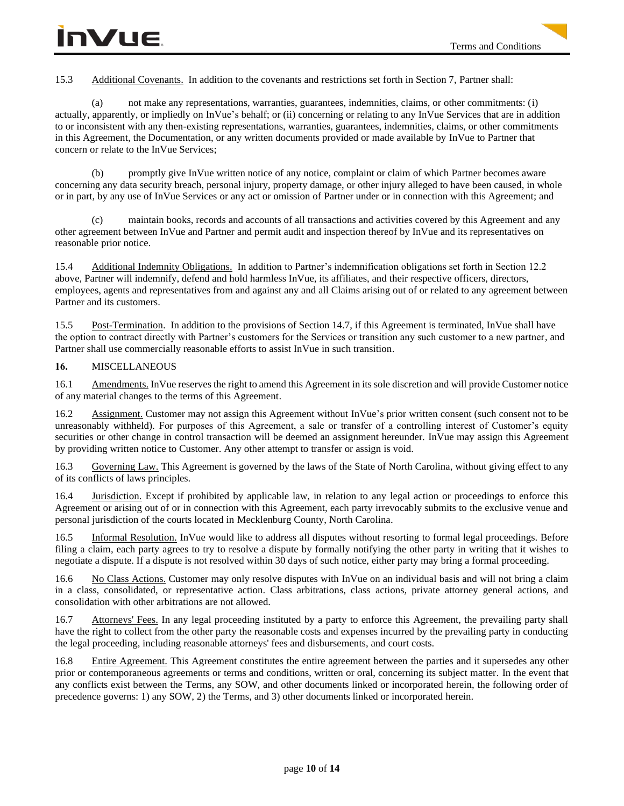15.3 Additional Covenants. In addition to the covenants and restrictions set forth in Section 7, Partner shall:

(a) not make any representations, warranties, guarantees, indemnities, claims, or other commitments: (i) actually, apparently, or impliedly on InVue's behalf; or (ii) concerning or relating to any InVue Services that are in addition to or inconsistent with any then-existing representations, warranties, guarantees, indemnities, claims, or other commitments in this Agreement, the Documentation, or any written documents provided or made available by InVue to Partner that concern or relate to the InVue Services;

(b) promptly give InVue written notice of any notice, complaint or claim of which Partner becomes aware concerning any data security breach, personal injury, property damage, or other injury alleged to have been caused, in whole or in part, by any use of InVue Services or any act or omission of Partner under or in connection with this Agreement; and

(c) maintain books, records and accounts of all transactions and activities covered by this Agreement and any other agreement between InVue and Partner and permit audit and inspection thereof by InVue and its representatives on reasonable prior notice.

15.4 Additional Indemnity Obligations. In addition to Partner's indemnification obligations set forth in Section 12.2 above, Partner will indemnify, defend and hold harmless InVue, its affiliates, and their respective officers, directors, employees, agents and representatives from and against any and all Claims arising out of or related to any agreement between Partner and its customers.

15.5 Post-Termination. In addition to the provisions of Section 14.7, if this Agreement is terminated, InVue shall have the option to contract directly with Partner's customers for the Services or transition any such customer to a new partner, and Partner shall use commercially reasonable efforts to assist InVue in such transition.

## **16.** MISCELLANEOUS

16.1 Amendments. InVue reserves the right to amend this Agreement in its sole discretion and will provide Customer notice of any material changes to the terms of this Agreement.

16.2 Assignment. Customer may not assign this Agreement without InVue's prior written consent (such consent not to be unreasonably withheld). For purposes of this Agreement, a sale or transfer of a controlling interest of Customer's equity securities or other change in control transaction will be deemed an assignment hereunder. InVue may assign this Agreement by providing written notice to Customer. Any other attempt to transfer or assign is void.

16.3 Governing Law. This Agreement is governed by the laws of the State of North Carolina, without giving effect to any of its conflicts of laws principles.

16.4 Jurisdiction. Except if prohibited by applicable law, in relation to any legal action or proceedings to enforce this Agreement or arising out of or in connection with this Agreement, each party irrevocably submits to the exclusive venue and personal jurisdiction of the courts located in Mecklenburg County, North Carolina.

16.5 Informal Resolution. InVue would like to address all disputes without resorting to formal legal proceedings. Before filing a claim, each party agrees to try to resolve a dispute by formally notifying the other party in writing that it wishes to negotiate a dispute. If a dispute is not resolved within 30 days of such notice, either party may bring a formal proceeding.

16.6 No Class Actions. Customer may only resolve disputes with InVue on an individual basis and will not bring a claim in a class, consolidated, or representative action. Class arbitrations, class actions, private attorney general actions, and consolidation with other arbitrations are not allowed.

16.7 Attorneys' Fees. In any legal proceeding instituted by a party to enforce this Agreement, the prevailing party shall have the right to collect from the other party the reasonable costs and expenses incurred by the prevailing party in conducting the legal proceeding, including reasonable attorneys' fees and disbursements, and court costs.

16.8 Entire Agreement. This Agreement constitutes the entire agreement between the parties and it supersedes any other prior or contemporaneous agreements or terms and conditions, written or oral, concerning its subject matter. In the event that any conflicts exist between the Terms, any SOW, and other documents linked or incorporated herein, the following order of precedence governs: 1) any SOW, 2) the Terms, and 3) other documents linked or incorporated herein.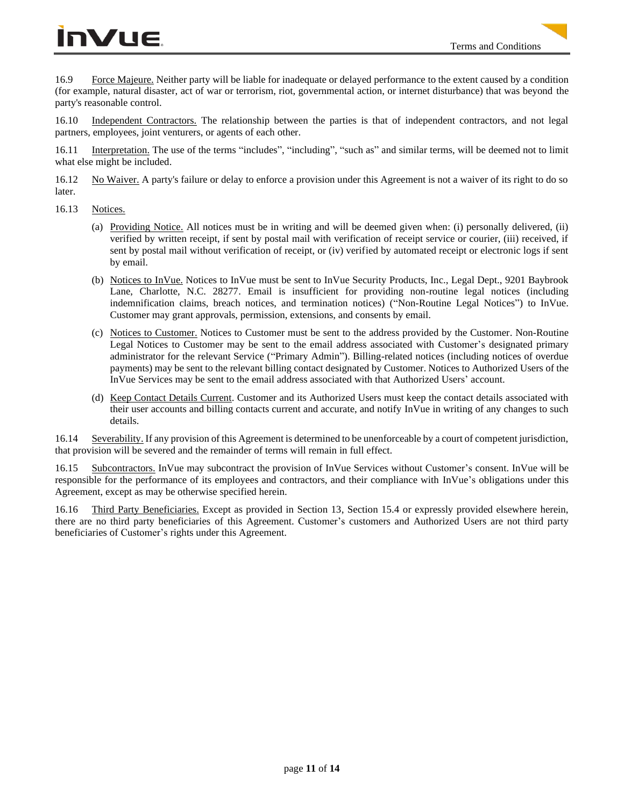# InVue

16.9 Force Majeure. Neither party will be liable for inadequate or delayed performance to the extent caused by a condition (for example, natural disaster, act of war or terrorism, riot, governmental action, or internet disturbance) that was beyond the party's reasonable control.

16.10 Independent Contractors. The relationship between the parties is that of independent contractors, and not legal partners, employees, joint venturers, or agents of each other.

16.11 Interpretation. The use of the terms "includes", "including", "such as" and similar terms, will be deemed not to limit what else might be included.

16.12 No Waiver. A party's failure or delay to enforce a provision under this Agreement is not a waiver of its right to do so later.

- 16.13 Notices.
	- (a) Providing Notice. All notices must be in writing and will be deemed given when: (i) personally delivered, (ii) verified by written receipt, if sent by postal mail with verification of receipt service or courier, (iii) received, if sent by postal mail without verification of receipt, or (iv) verified by automated receipt or electronic logs if sent by email.
	- (b) Notices to InVue. Notices to InVue must be sent to InVue Security Products, Inc., Legal Dept., 9201 Baybrook Lane, Charlotte, N.C. 28277. Email is insufficient for providing non-routine legal notices (including indemnification claims, breach notices, and termination notices) ("Non-Routine Legal Notices") to InVue. Customer may grant approvals, permission, extensions, and consents by email.
	- (c) Notices to Customer. Notices to Customer must be sent to the address provided by the Customer. Non-Routine Legal Notices to Customer may be sent to the email address associated with Customer's designated primary administrator for the relevant Service ("Primary Admin"). Billing-related notices (including notices of overdue payments) may be sent to the relevant billing contact designated by Customer. Notices to Authorized Users of the InVue Services may be sent to the email address associated with that Authorized Users' account.
	- (d) Keep Contact Details Current. Customer and its Authorized Users must keep the contact details associated with their user accounts and billing contacts current and accurate, and notify InVue in writing of any changes to such details.

16.14 Severability. If any provision of this Agreement is determined to be unenforceable by a court of competent jurisdiction, that provision will be severed and the remainder of terms will remain in full effect.

16.15 Subcontractors. InVue may subcontract the provision of InVue Services without Customer's consent. InVue will be responsible for the performance of its employees and contractors, and their compliance with InVue's obligations under this Agreement, except as may be otherwise specified herein.

16.16 Third Party Beneficiaries. Except as provided in Section 13, Section 15.4 or expressly provided elsewhere herein, there are no third party beneficiaries of this Agreement. Customer's customers and Authorized Users are not third party beneficiaries of Customer's rights under this Agreement.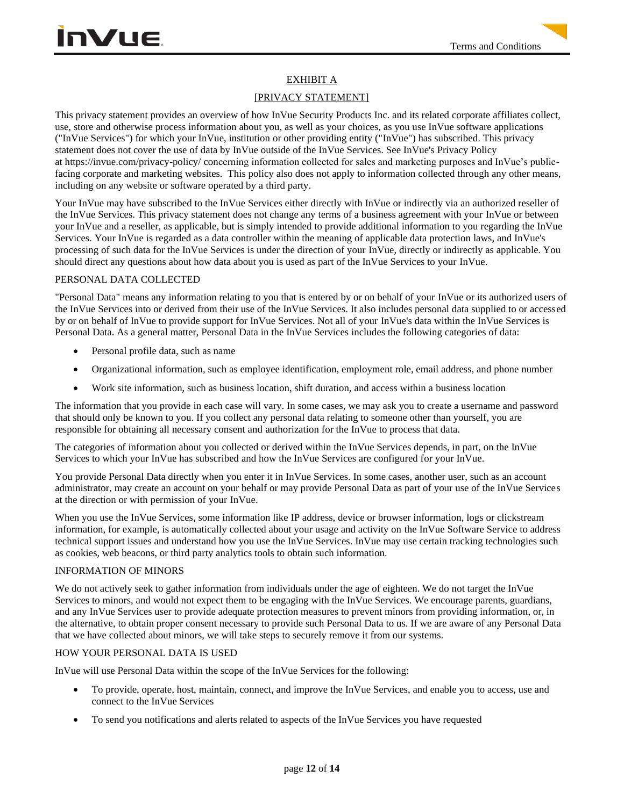# EXHIBIT A

# [PRIVACY STATEMENT]

This privacy statement provides an overview of how InVue Security Products Inc. and its related corporate affiliates collect, use, store and otherwise process information about you, as well as your choices, as you use InVue software applications ("InVue Services") for which your InVue, institution or other providing entity ("InVue") has subscribed. This privacy statement does not cover the use of data by InVue outside of the InVue Services. See InVue's Privacy Policy at https://invue.com/privacy-policy/ concerning information collected for sales and marketing purposes and InVue's publicfacing corporate and marketing websites. This policy also does not apply to information collected through any other means, including on any website or software operated by a third party.

Your InVue may have subscribed to the InVue Services either directly with InVue or indirectly via an authorized reseller of the InVue Services. This privacy statement does not change any terms of a business agreement with your InVue or between your InVue and a reseller, as applicable, but is simply intended to provide additional information to you regarding the InVue Services. Your InVue is regarded as a data controller within the meaning of applicable data protection laws, and InVue's processing of such data for the InVue Services is under the direction of your InVue, directly or indirectly as applicable. You should direct any questions about how data about you is used as part of the InVue Services to your InVue.

## PERSONAL DATA COLLECTED

"Personal Data" means any information relating to you that is entered by or on behalf of your InVue or its authorized users of the InVue Services into or derived from their use of the InVue Services. It also includes personal data supplied to or accessed by or on behalf of InVue to provide support for InVue Services. Not all of your InVue's data within the InVue Services is Personal Data. As a general matter, Personal Data in the InVue Services includes the following categories of data:

- Personal profile data, such as name
- Organizational information, such as employee identification, employment role, email address, and phone number
- Work site information, such as business location, shift duration, and access within a business location

The information that you provide in each case will vary. In some cases, we may ask you to create a username and password that should only be known to you. If you collect any personal data relating to someone other than yourself, you are responsible for obtaining all necessary consent and authorization for the InVue to process that data.

The categories of information about you collected or derived within the InVue Services depends, in part, on the InVue Services to which your InVue has subscribed and how the InVue Services are configured for your InVue.

You provide Personal Data directly when you enter it in InVue Services. In some cases, another user, such as an account administrator, may create an account on your behalf or may provide Personal Data as part of your use of the InVue Services at the direction or with permission of your InVue.

When you use the InVue Services, some information like IP address, device or browser information, logs or clickstream information, for example, is automatically collected about your usage and activity on the InVue Software Service to address technical support issues and understand how you use the InVue Services. InVue may use certain tracking technologies such as cookies, web beacons, or third party analytics tools to obtain such information.

### INFORMATION OF MINORS

We do not actively seek to gather information from individuals under the age of eighteen. We do not target the InVue Services to minors, and would not expect them to be engaging with the InVue Services. We encourage parents, guardians, and any InVue Services user to provide adequate protection measures to prevent minors from providing information, or, in the alternative, to obtain proper consent necessary to provide such Personal Data to us. If we are aware of any Personal Data that we have collected about minors, we will take steps to securely remove it from our systems.

## HOW YOUR PERSONAL DATA IS USED

InVue will use Personal Data within the scope of the InVue Services for the following:

- To provide, operate, host, maintain, connect, and improve the InVue Services, and enable you to access, use and connect to the InVue Services
- To send you notifications and alerts related to aspects of the InVue Services you have requested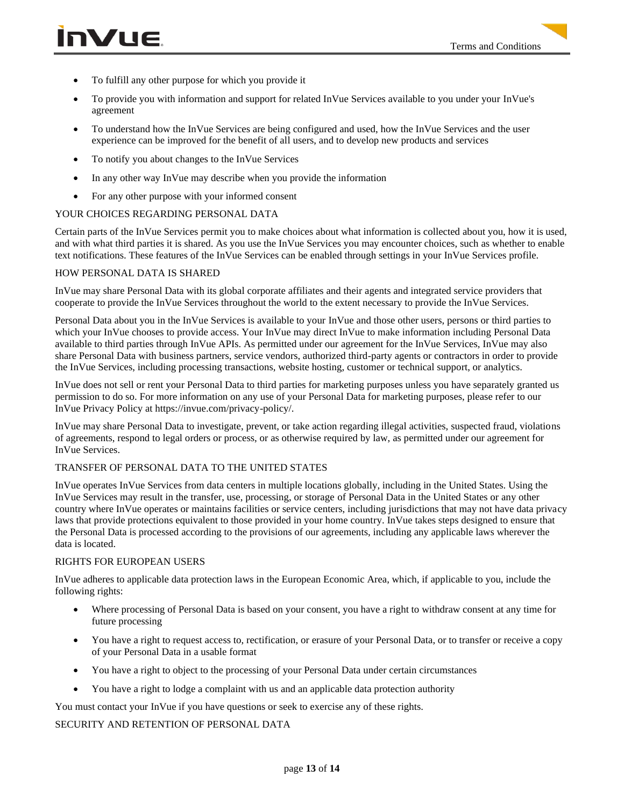- To fulfill any other purpose for which you provide it
- To provide you with information and support for related InVue Services available to you under your InVue's agreement
- To understand how the InVue Services are being configured and used, how the InVue Services and the user experience can be improved for the benefit of all users, and to develop new products and services
- To notify you about changes to the InVue Services
- In any other way InVue may describe when you provide the information
- For any other purpose with your informed consent

### YOUR CHOICES REGARDING PERSONAL DATA

Certain parts of the InVue Services permit you to make choices about what information is collected about you, how it is used, and with what third parties it is shared. As you use the InVue Services you may encounter choices, such as whether to enable text notifications. These features of the InVue Services can be enabled through settings in your InVue Services profile.

### HOW PERSONAL DATA IS SHARED

InVue may share Personal Data with its global corporate affiliates and their agents and integrated service providers that cooperate to provide the InVue Services throughout the world to the extent necessary to provide the InVue Services.

Personal Data about you in the InVue Services is available to your InVue and those other users, persons or third parties to which your InVue chooses to provide access. Your InVue may direct InVue to make information including Personal Data available to third parties through InVue APIs. As permitted under our agreement for the InVue Services, InVue may also share Personal Data with business partners, service vendors, authorized third-party agents or contractors in order to provide the InVue Services, including processing transactions, website hosting, customer or technical support, or analytics.

InVue does not sell or rent your Personal Data to third parties for marketing purposes unless you have separately granted us permission to do so. For more information on any use of your Personal Data for marketing purposes, please refer to our InVue Privacy Policy at https://invue.com/privacy-policy/.

InVue may share Personal Data to investigate, prevent, or take action regarding illegal activities, suspected fraud, violations of agreements, respond to legal orders or process, or as otherwise required by law, as permitted under our agreement for InVue Services.

### TRANSFER OF PERSONAL DATA TO THE UNITED STATES

InVue operates InVue Services from data centers in multiple locations globally, including in the United States. Using the InVue Services may result in the transfer, use, processing, or storage of Personal Data in the United States or any other country where InVue operates or maintains facilities or service centers, including jurisdictions that may not have data privacy laws that provide protections equivalent to those provided in your home country. InVue takes steps designed to ensure that the Personal Data is processed according to the provisions of our agreements, including any applicable laws wherever the data is located.

### RIGHTS FOR EUROPEAN USERS

InVue adheres to applicable data protection laws in the European Economic Area, which, if applicable to you, include the following rights:

- Where processing of Personal Data is based on your consent, you have a right to withdraw consent at any time for future processing
- You have a right to request access to, rectification, or erasure of your Personal Data, or to transfer or receive a copy of your Personal Data in a usable format
- You have a right to object to the processing of your Personal Data under certain circumstances
- You have a right to lodge a complaint with us and an applicable data protection authority

You must contact your InVue if you have questions or seek to exercise any of these rights.

### SECURITY AND RETENTION OF PERSONAL DATA